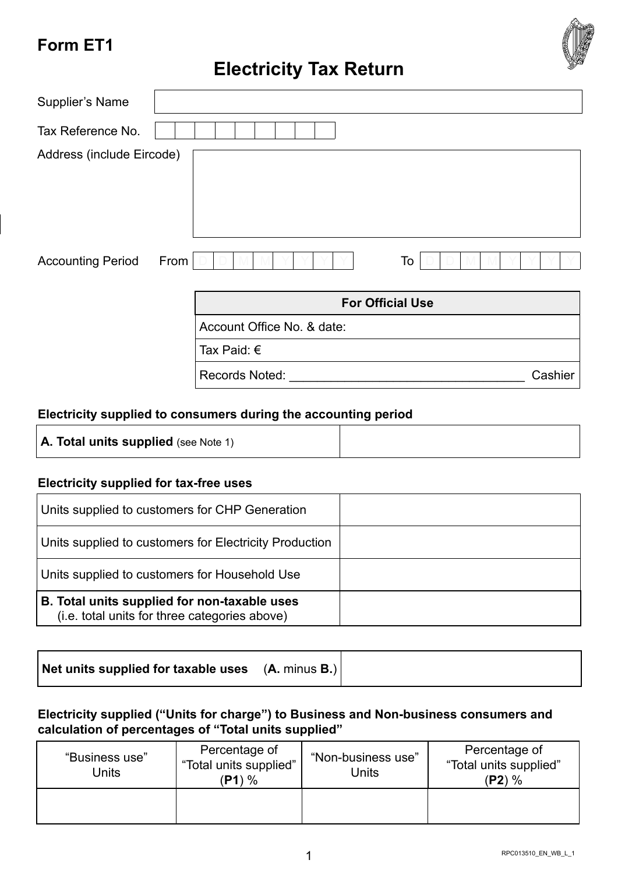# **Form ET1**



| Supplier's Name           |      |                            |                         |
|---------------------------|------|----------------------------|-------------------------|
| Tax Reference No.         |      |                            |                         |
| Address (include Eircode) |      |                            |                         |
| <b>Accounting Period</b>  | From |                            | To                      |
|                           |      |                            | <b>For Official Use</b> |
|                           |      | Account Office No. & date: |                         |
|                           |      | Tax Paid: $\epsilon$       |                         |
|                           |      | Records Noted:             | Cashier                 |

## **Electricity supplied to consumers during the accounting period**

#### **Electricity supplied for tax-free uses**

| Units supplied to customers for CHP Generation                                                |  |
|-----------------------------------------------------------------------------------------------|--|
| Units supplied to customers for Electricity Production                                        |  |
| Units supplied to customers for Household Use                                                 |  |
| B. Total units supplied for non-taxable uses<br>(i.e. total units for three categories above) |  |

## **Electricity supplied ("Units for charge") to Business and Non-business consumers and calculation of percentages of "Total units supplied"**

| "Business use"<br>Units | Percentage of<br>"Total units supplied"<br>$\frac{9}{6}$<br>′P1 | "Non-business use"<br>Units | Percentage of<br>"Total units supplied"<br>$(P2)$ % |
|-------------------------|-----------------------------------------------------------------|-----------------------------|-----------------------------------------------------|
|                         |                                                                 |                             |                                                     |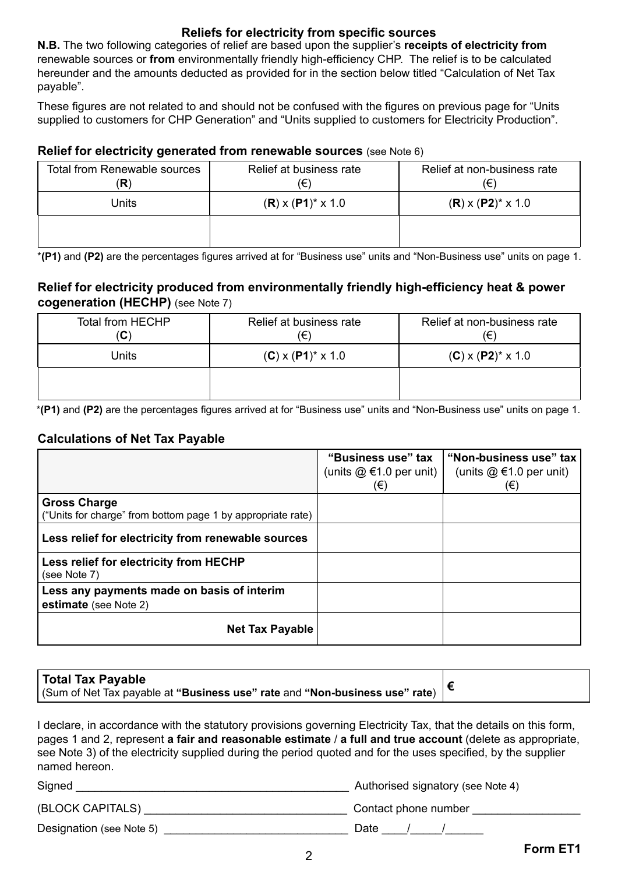#### **Reliefs for electricity from specific sources**

**N.B.** The two following categories of relief are based upon the supplier's **receipts of electricity from**  renewable sources or **from** environmentally friendly high-efficiency CHP. The relief is to be calculated hereunder and the amounts deducted as provided for in the section below titled "Calculation of Net Tax payable".

These figures are not related to and should not be confused with the figures on previous page for "Units supplied to customers for CHP Generation" and "Units supplied to customers for Electricity Production".

#### **Relief for electricity generated from renewable sources** (see Note 6)

| Total from Renewable sources<br>(R) | Relief at business rate<br>(€) | Relief at non-business rate<br>(€) |
|-------------------------------------|--------------------------------|------------------------------------|
| Units                               | $(R)$ x $(P1)^*$ x 1.0         | $(R) \times (P2)^* \times 1.0$     |
|                                     |                                |                                    |

\***(P1)** and **(P2)** are the percentages figures arrived at for "Business use" units and "Non-Business use" units on page 1.

#### **Relief for electricity produced from environmentally friendly high-efficiency heat & power cogeneration (HECHP)** (see Note 7)

| Total from HECHP<br>$(\mathbf{C})$ | Relief at business rate<br>(€) | Relief at non-business rate<br>(€) |
|------------------------------------|--------------------------------|------------------------------------|
| Units                              | $(C)$ x $(P1)^*$ x 1.0         | $(C)$ x $(P2)^*$ x 1.0             |
|                                    |                                |                                    |

\***(P1)** and **(P2)** are the percentages figures arrived at for "Business use" units and "Non-Business use" units on page 1.

#### **Calculations of Net Tax Payable**

|                                                                                    | "Business use" tax<br>(units $@ \in 1.0$ per unit)<br>(€) | "Non-business use" tax<br>(units $@$ $\in$ 1.0 per unit)<br>$(\in)$ |
|------------------------------------------------------------------------------------|-----------------------------------------------------------|---------------------------------------------------------------------|
| <b>Gross Charge</b><br>("Units for charge" from bottom page 1 by appropriate rate) |                                                           |                                                                     |
| Less relief for electricity from renewable sources                                 |                                                           |                                                                     |
| Less relief for electricity from HECHP<br>(see Note 7)                             |                                                           |                                                                     |
| Less any payments made on basis of interim<br>estimate (see Note 2)                |                                                           |                                                                     |
| <b>Net Tax Payable</b>                                                             |                                                           |                                                                     |

| Total Tax Payable                                                           |  |
|-----------------------------------------------------------------------------|--|
| (Sum of Net Tax payable at "Business use" rate and "Non-business use" rate) |  |

I declare, in accordance with the statutory provisions governing Electricity Tax, that the details on this form, pages 1 and 2, represent **a fair and reasonable estimate** / **a full and true account** (delete as appropriate, see Note 3) of the electricity supplied during the period quoted and for the uses specified, by the supplier named hereon.

Signed \_\_\_\_\_\_\_\_\_\_\_\_\_\_\_\_\_\_\_\_\_\_\_\_\_\_\_\_\_\_\_\_\_\_\_\_\_\_\_\_\_\_\_ Authorised signatory (see Note 4) (BLOCK CAPITALS) \_\_\_\_\_\_\_\_\_\_\_\_\_\_\_\_\_\_\_\_\_\_\_\_\_\_\_\_\_\_\_\_ Contact phone number \_\_\_\_\_\_\_\_\_\_\_\_\_\_\_\_\_ Designation (see Note 5) \_\_\_\_\_\_\_\_\_\_\_\_\_\_\_\_\_\_\_\_\_\_\_\_\_\_\_\_\_ Date \_\_\_\_/\_\_\_\_\_/\_\_\_\_\_\_